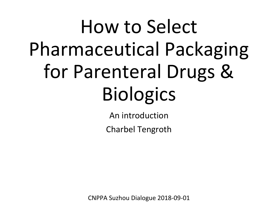# How to Select Pharmaceutical Packaging for Parenteral Drugs & **Biologics**

An introduction

Charbel Tengroth

CNPPA Suzhou Dialogue 2018-09-01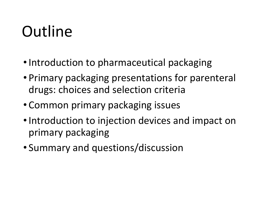# Outline

- Introduction to pharmaceutical packaging
- Primary packaging presentations for parenteral drugs: choices and selection criteria
- Common primary packaging issues
- Introduction to injection devices and impact on primary packaging
- Summary and questions/discussion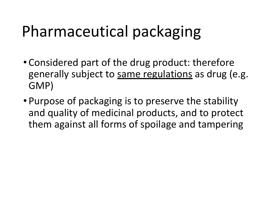### Pharmaceutical packaging

- Considered part of the drug product: therefore generally subject to same regulations as drug (e.g. GMP)
- Purpose of packaging is to preserve the stability and quality of medicinal products, and to protect them against all forms of spoilage and tampering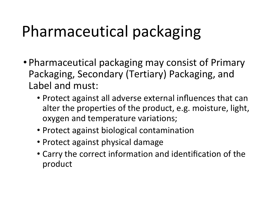# Pharmaceutical packaging

- Pharmaceutical packaging may consist of Primary Packaging, Secondary (Tertiary) Packaging, and Label and must:
	- Protect against all adverse external influences that can alter the properties of the product, e.g. moisture, light, oxygen and temperature variations;
	- Protect against biological contamination
	- Protect against physical damage
	- Carry the correct information and identification of the product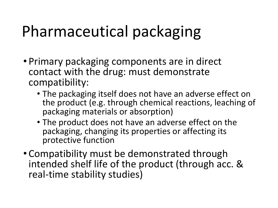# Pharmaceutical packaging

- Primary packaging components are in direct contact with the drug: must demonstrate compatibility:
	- The packaging itself does not have an adverse effect on the product (e.g. through chemical reactions, leaching of packaging materials or absorption)
	- The product does not have an adverse effect on the packaging, changing its properties or affecting its protective function
- Compatibility must be demonstrated through intended shelf life of the product (through acc. & real-time stability studies)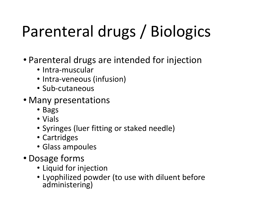# Parenteral drugs / Biologics

- Parenteral drugs are intended for injection
	- Intra-muscular
	- Intra-veneous (infusion)
	- Sub-cutaneous
- Many presentations
	- Bags
	- Vials
	- Syringes (luer fitting or staked needle)
	- Cartridges
	- Glass ampoules
- Dosage forms
	- Liquid for injection
	- Lyophilized powder (to use with diluent before administering)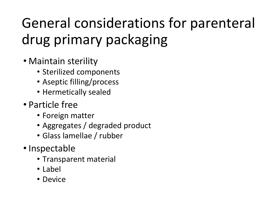### General considerations for parenteral drug primary packaging

- Maintain sterility
	- Sterilized components
	- Aseptic filling/process
	- Hermetically sealed
- Particle free
	- Foreign matter
	- Aggregates / degraded product
	- Glass lamellae / rubber
- Inspectable
	- Transparent material
	- Label
	- Device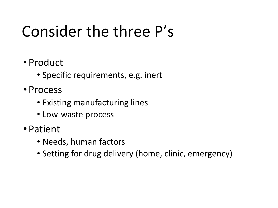### Consider the three P's

- Product
	- Specific requirements, e.g. inert
- Process
	- Existing manufacturing lines
	- Low-waste process
- Patient
	- Needs, human factors
	- Setting for drug delivery (home, clinic, emergency)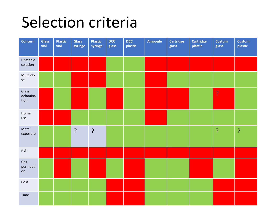### Selection criteria

| <b>Concern</b>            | <b>Glass</b><br>vial | <b>Plastic</b><br>vial | <b>Glass</b><br>syringe | Plastic<br>syringe | <b>DCC</b><br>glass | <b>DCC</b><br>plastic | <b>Ampoule</b> | <b>Cartridge</b><br>glass | <b>Cartridge</b><br>plastic | <b>Custom</b><br>glass | <b>Custom</b><br>plastic |
|---------------------------|----------------------|------------------------|-------------------------|--------------------|---------------------|-----------------------|----------------|---------------------------|-----------------------------|------------------------|--------------------------|
| Unstable<br>solution      |                      |                        |                         |                    |                     |                       |                |                           |                             |                        |                          |
| Multi-do<br>se            |                      |                        |                         |                    |                     |                       |                |                           |                             |                        |                          |
| Glass<br>delamina<br>tion |                      |                        |                         |                    |                     |                       |                |                           |                             | ļ.                     |                          |
| Home<br>use               |                      |                        |                         |                    |                     |                       |                |                           |                             |                        |                          |
| Metal<br>exposure         |                      |                        | $\cdot$                 | ?                  |                     |                       |                |                           |                             | ?                      | ?                        |
| $E$ & $L$                 |                      |                        |                         |                    |                     |                       |                |                           |                             |                        |                          |
| Gas<br>permeati<br>on     |                      |                        |                         |                    |                     |                       |                |                           |                             |                        |                          |
| Cost                      |                      |                        |                         |                    |                     |                       |                |                           |                             |                        |                          |
| Time                      |                      |                        |                         |                    |                     |                       |                |                           |                             |                        |                          |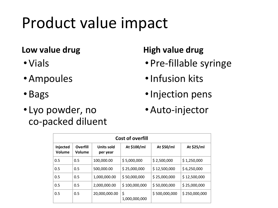### Product value impact

#### **Low value drug**

- Vials
- •Ampoules
- Bags
- Lyo powder, no co-packed diluent

#### **High value drug**

- Pre-fillable syringe
- •Infusion kits
- •Injection pens
- •Auto-injector

| <b>Cost of overfill</b> |                           |                        |                     |               |               |  |  |  |  |  |  |
|-------------------------|---------------------------|------------------------|---------------------|---------------|---------------|--|--|--|--|--|--|
| Injected<br>Volume      | <b>Overfill</b><br>Volume | Units sold<br>per year | At \$100/ml         | At \$50/ml    | At \$25/ml    |  |  |  |  |  |  |
| 0.5                     | 0.5                       | 100,000.00             | \$5,000,000         | \$2,500,000   | \$1,250,000   |  |  |  |  |  |  |
| 0.5                     | 0.5                       | 500,000.00             | \$25,000,000        | \$12,500,000  | \$6,250,000   |  |  |  |  |  |  |
| 0.5                     | 0.5                       | 1,000,000.00           | \$50,000,000        | \$25,000,000  | \$12,500,000  |  |  |  |  |  |  |
| 0.5                     | 0.5                       | 2,000,000.00           | \$100,000,000       | \$50,000,000  | \$25,000,000  |  |  |  |  |  |  |
| 0.5                     | 0.5                       | 20,000,000.00          | \$<br>1,000,000,000 | \$500,000,000 | \$250,000,000 |  |  |  |  |  |  |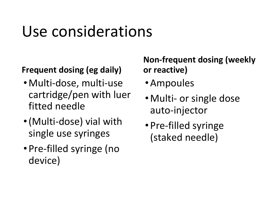# Use considerations

#### **Frequent dosing (eg daily)**

- Multi-dose, multi-use cartridge/pen with luer fitted needle
- •(Multi-dose) vial with single use syringes
- Pre-filled syringe (no device)

#### **Non-frequent dosing (weekly or reactive)**

- •Ampoules
- Multi- or single dose auto-injector
- Pre-filled syringe (staked needle)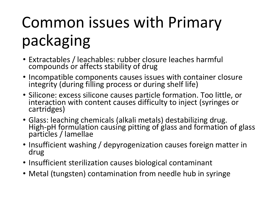# Common issues with Primary packaging

- Extractables / leachables: rubber closure leaches harmful compounds or affects stability of drug
- Incompatible components causes issues with container closure integrity (during filling process or during shelf life)
- Silicone: excess silicone causes particle formation. Too little, or interaction with content causes difficulty to inject (syringes or cartridges)
- Glass: leaching chemicals (alkali metals) destabilizing drug. High-pH formulation causing pitting of glass and formation of glass particles / lamellae
- Insufficient washing / depyrogenization causes foreign matter in drug
- Insufficient sterilization causes biological contaminant
- Metal (tungsten) contamination from needle hub in syringe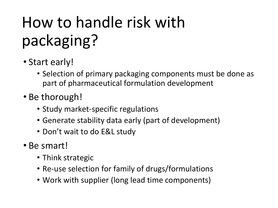# How to handle risk with packaging?

- Start early!
	- Selection of primary packaging components must be done as part of pharmaceutical formulation development
- Be thorough!
	- Study market-specific regulations
	- Generate stability data early (part of development)
	- Don't wait to do E&L study
- Be smart!
	- Think strategic
	- Re-use selection for family of drugs/formulations
	- Work with supplier (long lead time components)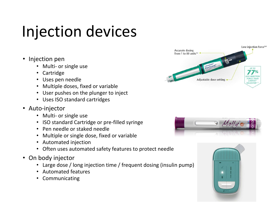## Injection devices

- Injection pen
	- Multi- or single use
	- **Cartridge**
	- Uses pen needle
	- Multiple doses, fixed or variable
	- User pushes on the plunger to inject
	- Uses ISO standard cartridges
- Auto-injector
	- Multi- or single use
	- ISO standard Cartridge or pre-filled syringe
	- Pen needle or staked needle
	- Multiple or single dose, fixed or variable
	- Automated injection
	- Often uses automated safety features to protect needle
- On body injector
	- Large dose / long injection time / frequent dosing (insulin pump)
	- Automated features
	- **Communicating**





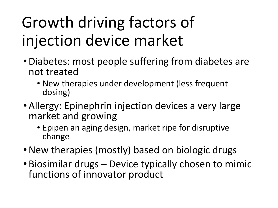# Growth driving factors of injection device market

- •Diabetes: most people suffering from diabetes are not treated
	- New therapies under development (less frequent dosing)
- •Allergy: Epinephrin injection devices a very large market and growing
	- Epipen an aging design, market ripe for disruptive change
- New therapies (mostly) based on biologic drugs
- Biosimilar drugs Device typically chosen to mimic functions of innovator product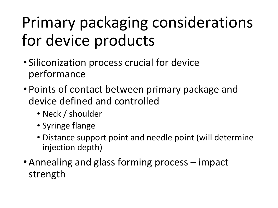# Primary packaging considerations for device products

- Siliconization process crucial for device performance
- Points of contact between primary package and device defined and controlled
	- Neck / shoulder
	- Syringe flange
	- Distance support point and needle point (will determine injection depth)
- •Annealing and glass forming process impact strength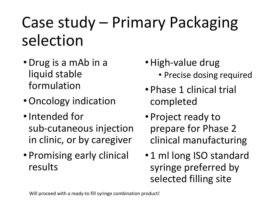### Case study – Primary Packaging selection

- •Drug is a mAb in a liquid stable formulation
- •Oncology indication
- •Intended for sub-cutaneous injection in clinic, or by caregiver
- Promising early clinical results
- High-value drug
	- Precise dosing required
- Phase 1 clinical trial completed
- Project ready to prepare for Phase 2 clinical manufacturing
- 1 ml long ISO standard syringe preferred by selected filling site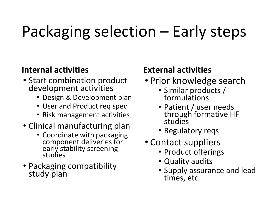# Packaging selection – Early steps

#### **Internal activities**

- Start combination product development activities
	- Design & Development plan
	- User and Product req spec
	- Risk management activities
- Clinical manufacturing plan
	- Coordinate with packaging component deliveries for early stability screening studies
- Packaging compatibility study plan

#### **External activities**

- Prior knowledge search
	- Similar products / formulations
	- Patient / user needs through formative HF studies
	- Regulatory reqs
- Contact suppliers
	- Product offerings
	- Quality audits
	- Supply assurance and lead times, etc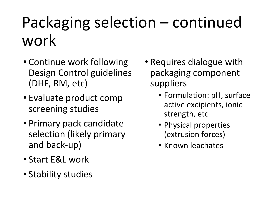# Packaging selection – continued work

- Continue work following Design Control guidelines (DHF, RM, etc)
- Evaluate product comp screening studies
- Primary pack candidate selection (likely primary and back-up)
- Start E&L work
- Stability studies
- Requires dialogue with packaging component suppliers
	- Formulation: pH, surface active excipients, ionic strength, etc
	- Physical properties (extrusion forces)
	- Known leachates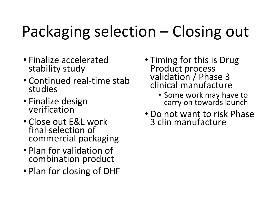# Packaging selection – Closing out

- Finalize accelerated stability study
- Continued real-time stab studies
- Finalize design verification
- Close out E&L work final selection of commercial packaging
- Plan for validation of combination product
- Plan for closing of DHF
- Timing for this is Drug Product process validation / Phase 3 clinical manufacture
	- Some work may have to carry on towards launch
- Do not want to risk Phase 3 clin manufacture